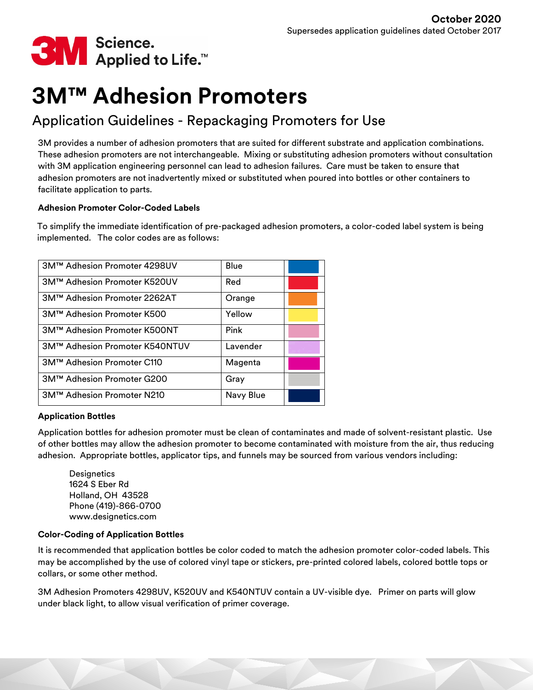

# **3M™ Adhesion Promoters**

# Application Guidelines - Repackaging Promoters for Use

3M provides a number of adhesion promoters that are suited for different substrate and application combinations. These adhesion promoters are not interchangeable. Mixing or substituting adhesion promoters without consultation with 3M application engineering personnel can lead to adhesion failures. Care must be taken to ensure that adhesion promoters are not inadvertently mixed or substituted when poured into bottles or other containers to facilitate application to parts.

# **Adhesion Promoter Color-Coded Labels**

To simplify the immediate identification of pre-packaged adhesion promoters, a color-coded label system is being implemented. The color codes are as follows:

| 3M™ Adhesion Promoter 4298UV   | Blue      |  |
|--------------------------------|-----------|--|
| 3M™ Adhesion Promoter K520UV   | Red       |  |
| 3M™ Adhesion Promoter 2262AT   | Orange    |  |
| 3M™ Adhesion Promoter K500     | Yellow    |  |
| 3M™ Adhesion Promoter K500NT   | Pink      |  |
| 3M™ Adhesion Promoter K540NTUV | Lavender  |  |
| 3M™ Adhesion Promoter C110     | Magenta   |  |
| 3M™ Adhesion Promoter G200     | Gray      |  |
| 3M™ Adhesion Promoter N210     | Navy Blue |  |

# **Application Bottles**

Application bottles for adhesion promoter must be clean of contaminates and made of solvent-resistant plastic. Use of other bottles may allow the adhesion promoter to become contaminated with moisture from the air, thus reducing adhesion. Appropriate bottles, applicator tips, and funnels may be sourced from various vendors including:

**Designetics** 1624 S Eber Rd Holland, OH 43528 Phone (419)-866-0700 www.designetics.com

# **Color-Coding of Application Bottles**

It is recommended that application bottles be color coded to match the adhesion promoter color-coded labels. This may be accomplished by the use of colored vinyl tape or stickers, pre-printed colored labels, colored bottle tops or collars, or some other method.

3M Adhesion Promoters 4298UV, K520UV and K540NTUV contain a UV-visible dye. Primer on parts will glow under black light, to allow visual verification of primer coverage.